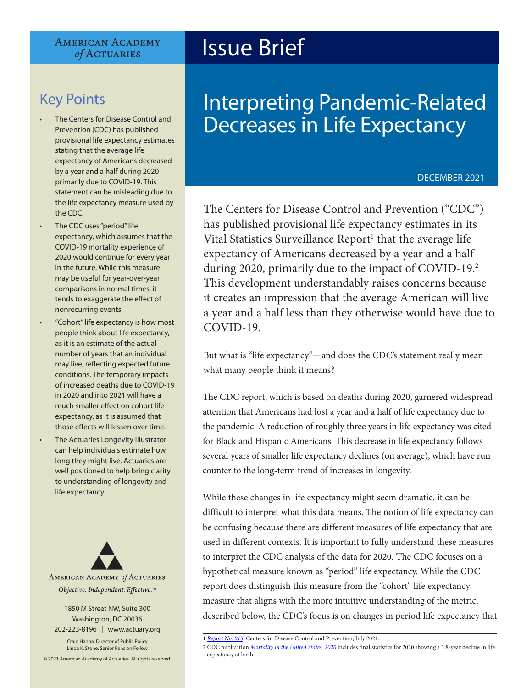#### **AMERICAN ACADEMY** of ACTUARIES

# Key Points

- The Centers for Disease Control and Prevention (CDC) has published provisional life expectancy estimates stating that the average life expectancy of Americans decreased by a year and a half during 2020 primarily due to COVID-19. This statement can be misleading due to the life expectancy measure used by the CDC.
- The CDC uses "period" life expectancy, which assumes that the COVID-19 mortality experience of 2020 would continue for every year in the future. While this measure may be useful for year-over-year comparisons in normal times, it tends to exaggerate the effect of nonrecurring events.
- "Cohort" life expectancy is how most people think about life expectancy, as it is an estimate of the actual number of years that an individual may live, reflecting expected future conditions. The temporary impacts of increased deaths due to COVID-19 in 2020 and into 2021 will have a much smaller effect on cohort life expectancy, as it is assumed that those effects will lessen over time.
- The Actuaries Longevity Illustrator can help individuals estimate how long they might live. Actuaries are well positioned to help bring clarity to understanding of longevity and life expectancy.



1850 M Street NW, Suite 300 Washington, DC 20036 202-223-8196 | [www.actuary.org](https://www.cdc.gov/nchs/data/databriefs/db427.pdf)

Craig Hanna, Director of Public Policy Linda K. Stone, Senior Pension Fellow

© 2021 American Academy of Actuaries. All rights reserved.

# Issue Brief

# Interpreting Pandemic-Related Decreases in Life Expectancy

#### DECEMBER 2021

The Centers for Disease Control and Prevention ("CDC") has published provisional life expectancy estimates in its Vital Statistics Surveillance Report<sup>1</sup> that the average life expectancy of Americans decreased by a year and a half during 2020, primarily due to the impact of COVID-19.<sup>2</sup> This development understandably raises concerns because it creates an impression that the average American will live a year and a half less than they otherwise would have due to COVID-19.

But what is "life expectancy"—and does the CDC's statement really mean what many people think it means?

The CDC report, which is based on deaths during 2020, garnered widespread attention that Americans had lost a year and a half of life expectancy due to the pandemic. A reduction of roughly three years in life expectancy was cited for Black and Hispanic Americans. This decrease in life expectancy follows several years of smaller life expectancy declines (on average), which have run counter to the long-term trend of increases in longevity.

While these changes in life expectancy might seem dramatic, it can be difficult to interpret what this data means. The notion of life expectancy can be confusing because there are different measures of life expectancy that are used in different contexts. It is important to fully understand these measures to interpret the CDC analysis of the data for 2020. The CDC focuses on a hypothetical measure known as "period" life expectancy. While the CDC report does distinguish this measure from the "cohort" life expectancy measure that aligns with the more intuitive understanding of the metric, described below, the CDC's focus is on changes in period life expectancy that

2 CDC publication *[Mortality in the United States, 2020](https://www.cdc.gov/nchs/data/databriefs/db427.pdf)* includes final statistics for 2020 showing a 1.8-year decline in life expectancy at birth.

<sup>1</sup> *R[eport No. 015](https://www.cdc.gov/nchs/data/vsrr/vsrr015-508.pdf)*; Centers for Disease Control and Prevention; July 2021.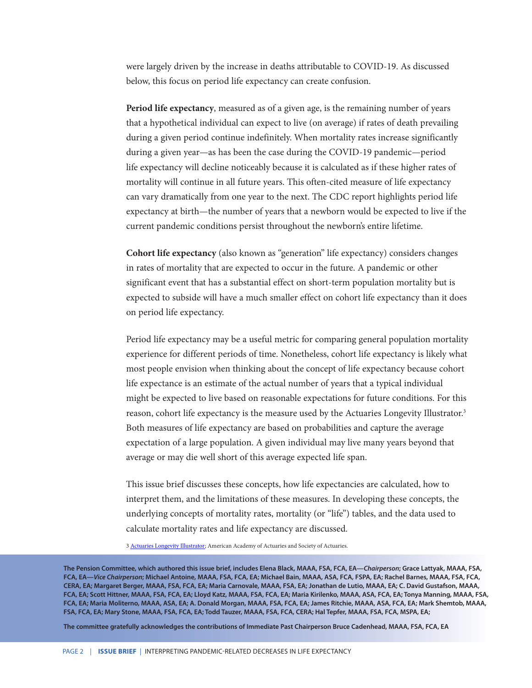were largely driven by the increase in deaths attributable to COVID-19. As discussed below, this focus on period life expectancy can create confusion.

**Period life expectancy**, measured as of a given age, is the remaining number of years that a hypothetical individual can expect to live (on average) if rates of death prevailing during a given period continue indefinitely. When mortality rates increase significantly during a given year—as has been the case during the COVID-19 pandemic—period life expectancy will decline noticeably because it is calculated as if these higher rates of mortality will continue in all future years. This often-cited measure of life expectancy can vary dramatically from one year to the next. The CDC report highlights period life expectancy at birth—the number of years that a newborn would be expected to live if the current pandemic conditions persist throughout the newborn's entire lifetime.

**Cohort life expectancy** (also known as "generation" life expectancy) considers changes in rates of mortality that are expected to occur in the future. A pandemic or other significant event that has a substantial effect on short-term population mortality but is expected to subside will have a much smaller effect on cohort life expectancy than it does on period life expectancy.

Period life expectancy may be a useful metric for comparing general population mortality experience for different periods of time. Nonetheless, cohort life expectancy is likely what most people envision when thinking about the concept of life expectancy because cohort life expectance is an estimate of the actual number of years that a typical individual might be expected to live based on reasonable expectations for future conditions. For this reason, cohort life expectancy is the measure used by the Actuaries Longevity Illustrator.<sup>3</sup> Both measures of life expectancy are based on probabilities and capture the average expectation of a large population. A given individual may live many years beyond that average or may die well short of this average expected life span.

This issue brief discusses these concepts, how life expectancies are calculated, how to interpret them, and the limitations of these measures. In developing these concepts, the underlying concepts of mortality rates, mortality (or "life") tables, and the data used to calculate mortality rates and life expectancy are discussed.

3 [Actuaries Longevity Illustrator;](https://www.cdc.gov/nchs/data/databriefs/db427.pdf) American Academy of Actuaries and Society of Actuaries.

**The Pension Committee, which authored this issue brief, includes Elena Black, MAAA, FSA, FCA, EA—***Chairperson***; Grace Lattyak, MAAA, FSA, FCA, EA—***Vice Chairperson***; Michael Antoine, MAAA, FSA, FCA, EA; Michael Bain, MAAA, ASA, FCA, FSPA, EA; Rachel Barnes, MAAA, FSA, FCA, CERA, EA; Margaret Berger, MAAA, FSA, FCA, EA; Maria Carnovale, MAAA, FSA, EA; Jonathan de Lutio, MAAA, EA; C. David Gustafson, MAAA, FCA, EA; Scott Hittner, MAAA, FSA, FCA, EA; Lloyd Katz, MAAA, FSA, FCA, EA; Maria Kirilenko, MAAA, ASA, FCA, EA; Tonya Manning, MAAA, FSA, FCA, EA; Maria Moliterno, MAAA, ASA, EA; A. Donald Morgan, MAAA, FSA, FCA, EA; James Ritchie, MAAA, ASA, FCA, EA; Mark Shemtob, MAAA, FSA, FCA, EA; Mary Stone, MAAA, FSA, FCA, EA; Todd Tauzer, MAAA, FSA, FCA, CERA; Hal Tepfer, MAAA, FSA, FCA, MSPA, EA;**

**The committee gratefully acknowledges the contributions of Immediate Past Chairperson Bruce Cadenhead, MAAA, FSA, FCA, EA**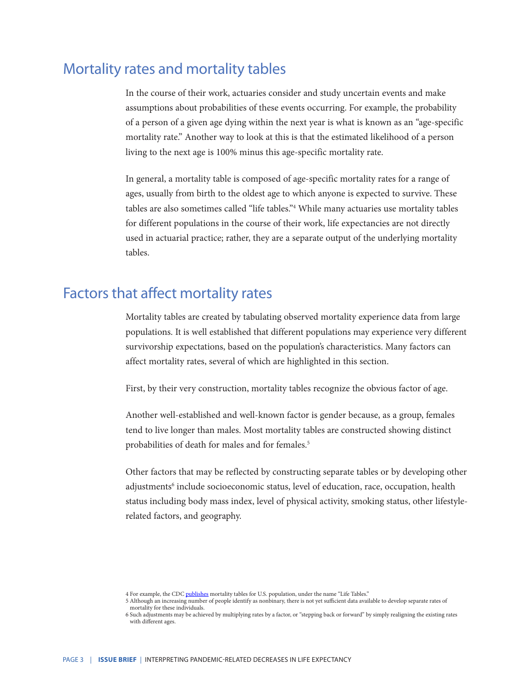## Mortality rates and mortality tables

In the course of their work, actuaries consider and study uncertain events and make assumptions about probabilities of these events occurring. For example, the probability of a person of a given age dying within the next year is what is known as an "age-specific mortality rate." Another way to look at this is that the estimated likelihood of a person living to the next age is 100% minus this age-specific mortality rate.

In general, a mortality table is composed of age-specific mortality rates for a range of ages, usually from birth to the oldest age to which anyone is expected to survive. These tables are also sometimes called "life tables."4 While many actuaries use mortality tables for different populations in the course of their work, life expectancies are not directly used in actuarial practice; rather, they are a separate output of the underlying mortality tables.

# Factors that affect mortality rates

Mortality tables are created by tabulating observed mortality experience data from large populations. It is well established that different populations may experience very different survivorship expectations, based on the population's characteristics. Many factors can affect mortality rates, several of which are highlighted in this section.

First, by their very construction, mortality tables recognize the obvious factor of age.

Another well-established and well-known factor is gender because, as a group, females tend to live longer than males. Most mortality tables are constructed showing distinct probabilities of death for males and for females.<sup>5</sup>

Other factors that may be reflected by constructing separate tables or by developing other adjustments<sup>6</sup> include socioeconomic status, level of education, race, occupation, health status including body mass index, level of physical activity, smoking status, other lifestylerelated factors, and geography.

<sup>4</sup> For example, the CDC [publishes](https://www.cdc.gov/nchs/data/databriefs/db427.pdf) mortality tables for U.S. population, under the name "Life Tables."

<sup>5</sup> Although an increasing number of people identify as nonbinary, there is not yet sufficient data available to develop separate rates of mortality for these individuals.

<sup>6</sup> Such adjustments may be achieved by multiplying rates by a factor, or "stepping back or forward" by simply realigning the existing rates with different ages.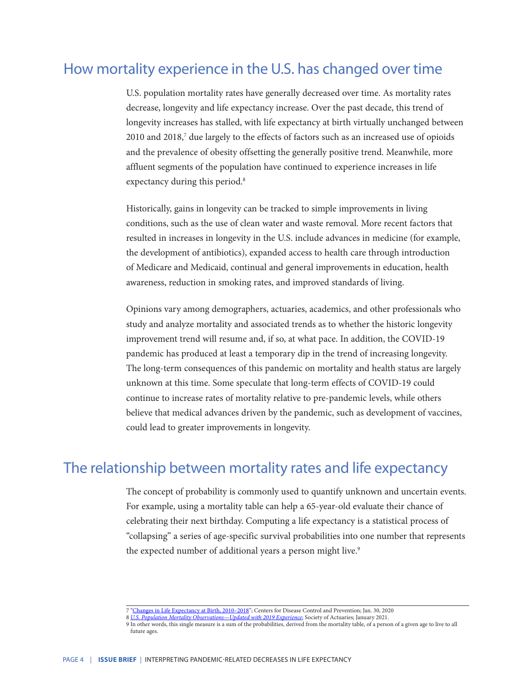# How mortality experience in the U.S. has changed over time

U.S. population mortality rates have generally decreased over time. As mortality rates decrease, longevity and life expectancy increase. Over the past decade, this trend of longevity increases has stalled, with life expectancy at birth virtually unchanged between 2010 and 2018,<sup>7</sup> due largely to the effects of factors such as an increased use of opioids and the prevalence of obesity offsetting the generally positive trend. Meanwhile, more affluent segments of the population have continued to experience increases in life expectancy during this period.<sup>8</sup>

Historically, gains in longevity can be tracked to simple improvements in living conditions, such as the use of clean water and waste removal. More recent factors that resulted in increases in longevity in the U.S. include advances in medicine (for example, the development of antibiotics), expanded access to health care through introduction of Medicare and Medicaid, continual and general improvements in education, health awareness, reduction in smoking rates, and improved standards of living.

Opinions vary among demographers, actuaries, academics, and other professionals who study and analyze mortality and associated trends as to whether the historic longevity improvement trend will resume and, if so, at what pace. In addition, the COVID-19 pandemic has produced at least a temporary dip in the trend of increasing longevity. The long-term consequences of this pandemic on mortality and health status are largely unknown at this time. Some speculate that long-term effects of COVID-19 could continue to increase rates of mortality relative to pre-pandemic levels, while others believe that medical advances driven by the pandemic, such as development of vaccines, could lead to greater improvements in longevity.

## The relationship between mortality rates and life expectancy

The concept of probability is commonly used to quantify unknown and uncertain events. For example, using a mortality table can help a 65-year-old evaluate their chance of celebrating their next birthday. Computing a life expectancy is a statistical process of "collapsing" a series of age-specific survival probabilities into one number that represents the expected number of additional years a person might live.<sup>9</sup>

<sup>7 &</sup>quot;[Changes in Life Expectancy at Birth, 2010–2018"](https://www.cdc.gov/nchs/data/databriefs/db427.pdf); Centers for Disease Control and Prevention; Jan. 30, 2020

<sup>8</sup> *[U.S. Population Mortality Observations—Updated with 2019 Experience](https://www.cdc.gov/nchs/data/databriefs/db427.pdf)*; Society of Actuaries; January 2021.

<sup>9</sup> In other words, this single measure is a sum of the probabilities, derived from the mortality table, of a person of a given age to live to all future ages.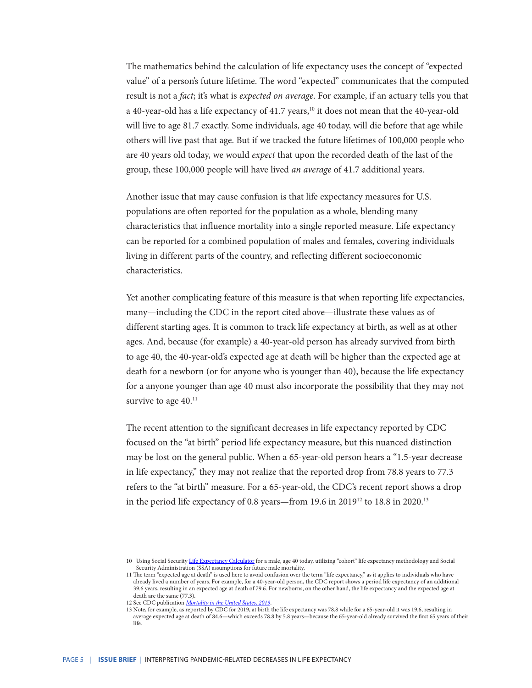The mathematics behind the calculation of life expectancy uses the concept of "expected value" of a person's future lifetime. The word "expected" communicates that the computed result is not a *fact*; it's what is *expected on average*. For example, if an actuary tells you that a 40-year-old has a life expectancy of 41.7 years,<sup>10</sup> it does not mean that the 40-year-old will live to age 81.7 exactly. Some individuals, age 40 today, will die before that age while others will live past that age. But if we tracked the future lifetimes of 100,000 people who are 40 years old today, we would *expect* that upon the recorded death of the last of the group, these 100,000 people will have lived *an average* of 41.7 additional years.

Another issue that may cause confusion is that life expectancy measures for U.S. populations are often reported for the population as a whole, blending many characteristics that influence mortality into a single reported measure. Life expectancy can be reported for a combined population of males and females, covering individuals living in different parts of the country, and reflecting different socioeconomic characteristics.

Yet another complicating feature of this measure is that when reporting life expectancies, many—including the CDC in the report cited above—illustrate these values as of different starting ages. It is common to track life expectancy at birth, as well as at other ages. And, because (for example) a 40-year-old person has already survived from birth to age 40, the 40-year-old's expected age at death will be higher than the expected age at death for a newborn (or for anyone who is younger than 40), because the life expectancy for a anyone younger than age 40 must also incorporate the possibility that they may not survive to age  $40.^{11}$ 

The recent attention to the significant decreases in life expectancy reported by CDC focused on the "at birth" period life expectancy measure, but this nuanced distinction may be lost on the general public. When a 65-year-old person hears a "1.5-year decrease in life expectancy," they may not realize that the reported drop from 78.8 years to 77.3 refers to the "at birth" measure. For a 65-year-old, the CDC's recent report shows a drop in the period life expectancy of 0.8 years—from 19.6 in 201912 to 18.8 in 2020.13

<sup>10</sup> Using Social Security [Life Expectancy Calculator](https://www.cdc.gov/nchs/data/databriefs/db427.pdf) for a male, age 40 today, utilizing "cohort" life expectancy methodology and Social Security Administration (SSA) assumptions for future male mortality.

<sup>11</sup> The term "expected age at death" is used here to avoid confusion over the term "life expectancy," as it applies to individuals who have already lived a number of years. For example, for a 40-year-old person, the CDC report shows a period life expectancy of an additional 39.6 years, resulting in an expected age at death of 79.6. For newborns, on the other hand, the life expectancy and the expected age at death are the same (77.3).

<sup>12</sup> See CDC publication *[Mortality in the United States, 2019](https://www.cdc.gov/nchs/data/databriefs/db427.pdf)*.

<sup>13</sup> Note, for example, as reported by CDC for 2019, at birth the life expectancy was 78.8 while for a 65-year-old it was 19.6, resulting in average expected age at death of 84.6—which exceeds 78.8 by 5.8 years—because the 65-year-old already survived the first 65 years of their life.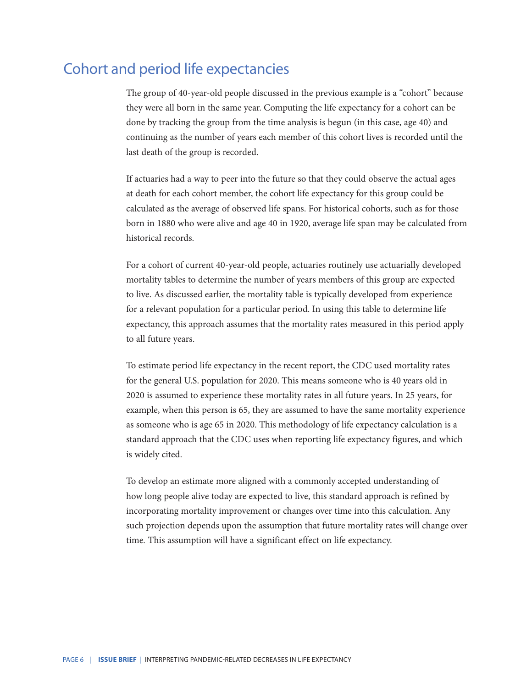# Cohort and period life expectancies

The group of 40-year-old people discussed in the previous example is a "cohort" because they were all born in the same year. Computing the life expectancy for a cohort can be done by tracking the group from the time analysis is begun (in this case, age 40) and continuing as the number of years each member of this cohort lives is recorded until the last death of the group is recorded.

If actuaries had a way to peer into the future so that they could observe the actual ages at death for each cohort member, the cohort life expectancy for this group could be calculated as the average of observed life spans. For historical cohorts, such as for those born in 1880 who were alive and age 40 in 1920, average life span may be calculated from historical records.

For a cohort of current 40-year-old people, actuaries routinely use actuarially developed mortality tables to determine the number of years members of this group are expected to live. As discussed earlier, the mortality table is typically developed from experience for a relevant population for a particular period. In using this table to determine life expectancy, this approach assumes that the mortality rates measured in this period apply to all future years.

To estimate period life expectancy in the recent report, the CDC used mortality rates for the general U.S. population for 2020. This means someone who is 40 years old in 2020 is assumed to experience these mortality rates in all future years. In 25 years, for example, when this person is 65, they are assumed to have the same mortality experience as someone who is age 65 in 2020. This methodology of life expectancy calculation is a standard approach that the CDC uses when reporting life expectancy figures, and which is widely cited.

To develop an estimate more aligned with a commonly accepted understanding of how long people alive today are expected to live, this standard approach is refined by incorporating mortality improvement or changes over time into this calculation. Any such projection depends upon the assumption that future mortality rates will change over time*.* This assumption will have a significant effect on life expectancy.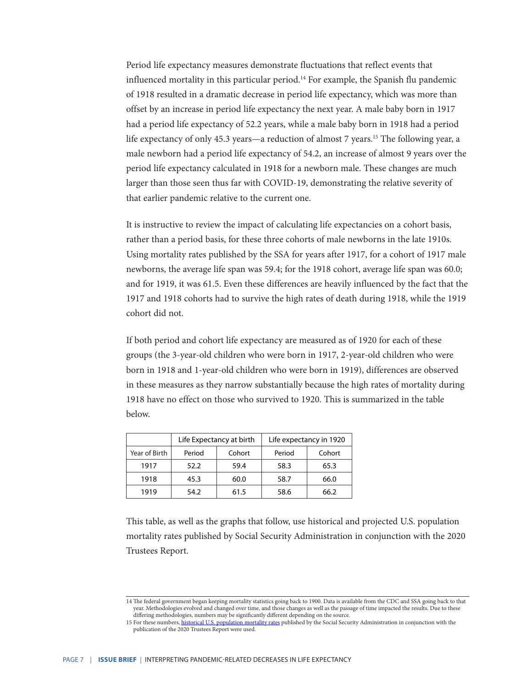Period life expectancy measures demonstrate fluctuations that reflect events that influenced mortality in this particular period.14 For example, the Spanish flu pandemic of 1918 resulted in a dramatic decrease in period life expectancy, which was more than offset by an increase in period life expectancy the next year. A male baby born in 1917 had a period life expectancy of 52.2 years, while a male baby born in 1918 had a period life expectancy of only 45.3 years—a reduction of almost 7 years.<sup>15</sup> The following year, a male newborn had a period life expectancy of 54.2, an increase of almost 9 years over the period life expectancy calculated in 1918 for a newborn male. These changes are much larger than those seen thus far with COVID-19, demonstrating the relative severity of that earlier pandemic relative to the current one.

It is instructive to review the impact of calculating life expectancies on a cohort basis, rather than a period basis, for these three cohorts of male newborns in the late 1910s. Using mortality rates published by the SSA for years after 1917, for a cohort of 1917 male newborns, the average life span was 59.4; for the 1918 cohort, average life span was 60.0; and for 1919, it was 61.5. Even these differences are heavily influenced by the fact that the 1917 and 1918 cohorts had to survive the high rates of death during 1918, while the 1919 cohort did not.

If both period and cohort life expectancy are measured as of 1920 for each of these groups (the 3-year-old children who were born in 1917, 2-year-old children who were born in 1918 and 1-year-old children who were born in 1919), differences are observed in these measures as they narrow substantially because the high rates of mortality during 1918 have no effect on those who survived to 1920. This is summarized in the table below.

|               | Life Expectancy at birth |        | Life expectancy in 1920 |        |
|---------------|--------------------------|--------|-------------------------|--------|
| Year of Birth | Period                   | Cohort | Period                  | Cohort |
| 1917          | 52.2                     | 59.4   | 58.3                    | 65.3   |
| 1918          | 45.3                     | 60.0   | 58.7                    | 66.0   |
| 1919          | 54.2                     | 61.5   | 58.6                    | 66.2   |

This table, as well as the graphs that follow, use historical and projected U.S. population mortality rates published by Social Security Administration in conjunction with the 2020 Trustees Report.

<sup>14</sup> The federal government began keeping mortality statistics going back to 1900. Data is available from the CDC and SSA going back to that year. Methodologies evolved and changed over time, and those changes as well as the passage of time impacted the results. Due to these differing methodologies, numbers may be significantly different depending on the source.

<sup>15</sup> For these numbers, [historical U.S. population mortality rates](https://www.cdc.gov/nchs/data/databriefs/db427.pdf) published by the Social Security Administration in conjunction with the publication of the 2020 Trustees Report were used.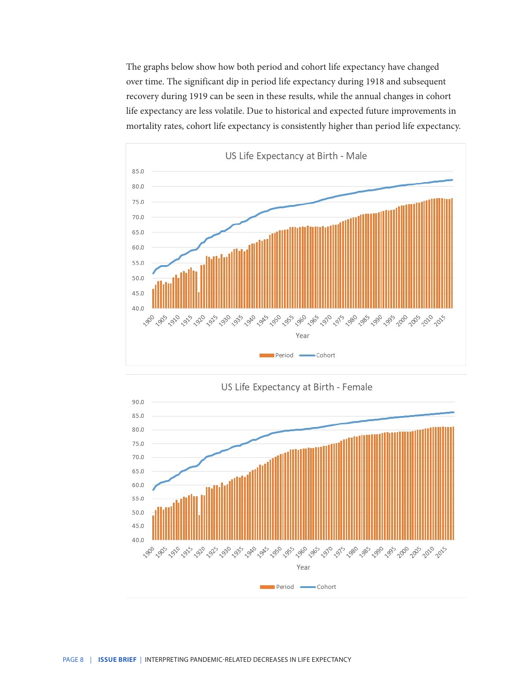The graphs below show how both period and cohort life expectancy have changed over time. The significant dip in period life expectancy during 1918 and subsequent recovery during 1919 can be seen in these results, while the annual changes in cohort life expectancy are less volatile. Due to historical and expected future improvements in mortality rates, cohort life expectancy is consistently higher than period life expectancy.